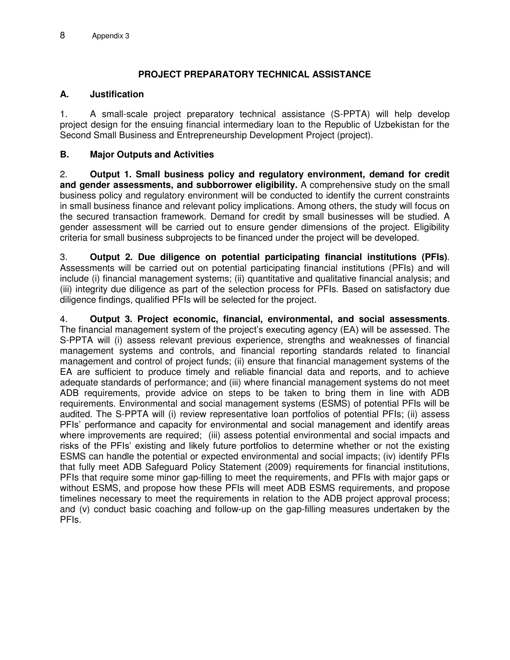# **PROJECT PREPARATORY TECHNICAL ASSISTANCE**

## **A. Justification**

1. A small-scale project preparatory technical assistance (S-PPTA) will help develop project design for the ensuing financial intermediary loan to the Republic of Uzbekistan for the Second Small Business and Entrepreneurship Development Project (project).

## **B. Major Outputs and Activities**

2. **Output 1. Small business policy and regulatory environment, demand for credit and gender assessments, and subborrower eligibility.** A comprehensive study on the small business policy and regulatory environment will be conducted to identify the current constraints in small business finance and relevant policy implications. Among others, the study will focus on the secured transaction framework. Demand for credit by small businesses will be studied. A gender assessment will be carried out to ensure gender dimensions of the project. Eligibility criteria for small business subprojects to be financed under the project will be developed.

3. **Output 2. Due diligence on potential participating financial institutions (PFIs)**. Assessments will be carried out on potential participating financial institutions (PFIs) and will include (i) financial management systems; (ii) quantitative and qualitative financial analysis; and (iii) integrity due diligence as part of the selection process for PFIs. Based on satisfactory due diligence findings, qualified PFIs will be selected for the project.

4. **Output 3. Project economic, financial, environmental, and social assessments**. The financial management system of the project's executing agency (EA) will be assessed. The S-PPTA will (i) assess relevant previous experience, strengths and weaknesses of financial management systems and controls, and financial reporting standards related to financial management and control of project funds; (ii) ensure that financial management systems of the EA are sufficient to produce timely and reliable financial data and reports, and to achieve adequate standards of performance; and (iii) where financial management systems do not meet ADB requirements, provide advice on steps to be taken to bring them in line with ADB requirements. Environmental and social management systems (ESMS) of potential PFIs will be audited. The S-PPTA will (i) review representative loan portfolios of potential PFIs; (ii) assess PFIs' performance and capacity for environmental and social management and identify areas where improvements are required; (iii) assess potential environmental and social impacts and risks of the PFIs' existing and likely future portfolios to determine whether or not the existing ESMS can handle the potential or expected environmental and social impacts; (iv) identify PFIs that fully meet ADB Safeguard Policy Statement (2009) requirements for financial institutions, PFIs that require some minor gap-filling to meet the requirements, and PFIs with major gaps or without ESMS, and propose how these PFIs will meet ADB ESMS requirements, and propose timelines necessary to meet the requirements in relation to the ADB project approval process; and (v) conduct basic coaching and follow-up on the gap-filling measures undertaken by the PFIs.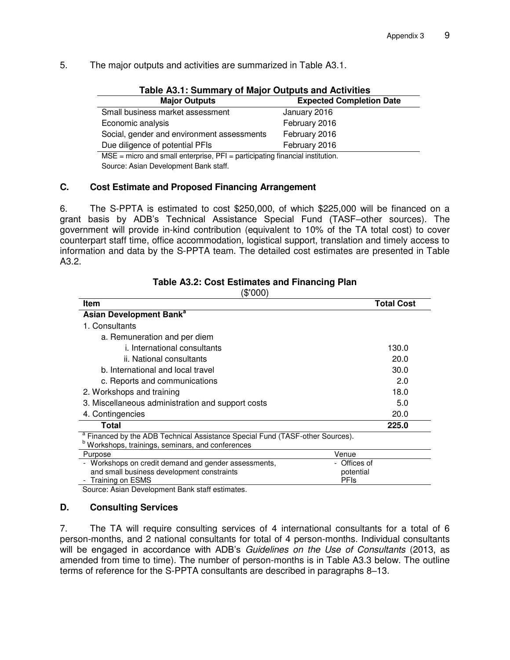5. The major outputs and activities are summarized in Table A3.1.

| Table A3.1: Summary of Major Outputs and Activities                              |                                 |  |
|----------------------------------------------------------------------------------|---------------------------------|--|
| <b>Major Outputs</b>                                                             | <b>Expected Completion Date</b> |  |
| Small business market assessment                                                 | January 2016                    |  |
| Economic analysis                                                                | February 2016                   |  |
| Social, gender and environment assessments                                       | February 2016                   |  |
| Due diligence of potential PFIs                                                  | February 2016                   |  |
| $MSE$ = micro and small enterprise, $PFI$ = participating financial institution. |                                 |  |
|                                                                                  |                                 |  |

Source: Asian Development Bank staff.

### **C. Cost Estimate and Proposed Financing Arrangement**

6. The S-PPTA is estimated to cost \$250,000, of which \$225,000 will be financed on a grant basis by ADB's Technical Assistance Special Fund (TASF–other sources). The government will provide in-kind contribution (equivalent to 10% of the TA total cost) to cover counterpart staff time, office accommodation, logistical support, translation and timely access to information and data by the S-PPTA team. The detailed cost estimates are presented in Table A3.2.

| DUU)                                                                                     |                   |  |
|------------------------------------------------------------------------------------------|-------------------|--|
| <b>Item</b>                                                                              | <b>Total Cost</b> |  |
| Asian Development Bank <sup>a</sup>                                                      |                   |  |
| 1. Consultants                                                                           |                   |  |
| a. Remuneration and per diem                                                             |                   |  |
| <i>i.</i> International consultants                                                      | 130.0             |  |
| ii. National consultants                                                                 | 20.0              |  |
| b. International and local travel                                                        | 30.0              |  |
| c. Reports and communications                                                            | 2.0               |  |
| 2. Workshops and training                                                                | 18.0              |  |
| 3. Miscellaneous administration and support costs                                        | 5.0               |  |
| 4. Contingencies                                                                         | 20.0              |  |
| Total                                                                                    | 225.0             |  |
| <sup>a</sup> Financed by the ADB Technical Assistance Special Fund (TASF-other Sources). |                   |  |
| Workshops, trainings, seminars, and conferences                                          |                   |  |
| Purpose                                                                                  | Venue             |  |
| - Workshops on credit demand and gender assessments,                                     | Offices of        |  |
| and small business development constraints                                               | potential         |  |
| Training on ESMS                                                                         | <b>PFIs</b>       |  |
| $\sim$ $\sim$                                                                            |                   |  |

#### **Table A3.2: Cost Estimates and Financing Plan**   $(0.000)$

Source: Asian Development Bank staff estimates.

### **D. Consulting Services**

7. The TA will require consulting services of 4 international consultants for a total of 6 person-months, and 2 national consultants for total of 4 person-months. Individual consultants will be engaged in accordance with ADB's *Guidelines on the Use of Consultants* (2013, as amended from time to time). The number of person-months is in Table A3.3 below. The outline terms of reference for the S-PPTA consultants are described in paragraphs 8–13.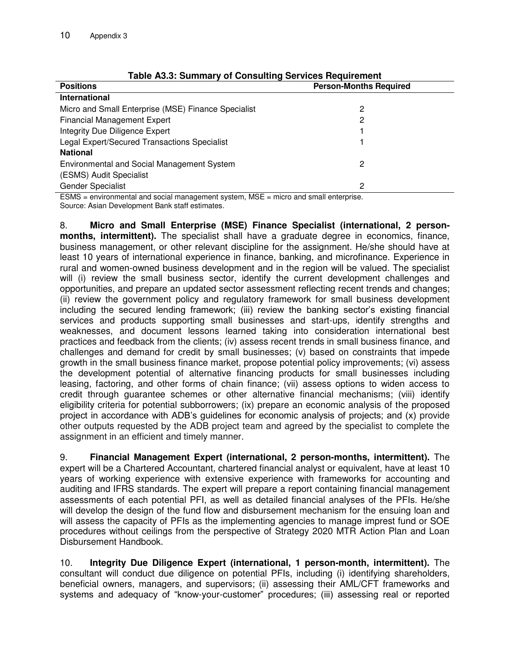| <b>Positions</b>                                    | <b>Person-Months Required</b> |  |
|-----------------------------------------------------|-------------------------------|--|
| International                                       |                               |  |
| Micro and Small Enterprise (MSE) Finance Specialist | 2                             |  |
| <b>Financial Management Expert</b>                  | 2                             |  |
| Integrity Due Diligence Expert                      |                               |  |
| Legal Expert/Secured Transactions Specialist        |                               |  |
| <b>National</b>                                     |                               |  |
| Environmental and Social Management System          | 2                             |  |
| (ESMS) Audit Specialist                             |                               |  |
| <b>Gender Specialist</b>                            | 2                             |  |

### **Table A3.3: Summary of Consulting Services Requirement**

ESMS = environmental and social management system, MSE = micro and small enterprise. Source: Asian Development Bank staff estimates.

8. **Micro and Small Enterprise (MSE) Finance Specialist (international, 2 personmonths, intermittent).** The specialist shall have a graduate degree in economics, finance, business management, or other relevant discipline for the assignment. He/she should have at least 10 years of international experience in finance, banking, and microfinance. Experience in rural and women-owned business development and in the region will be valued. The specialist will (i) review the small business sector, identify the current development challenges and opportunities, and prepare an updated sector assessment reflecting recent trends and changes; (ii) review the government policy and regulatory framework for small business development including the secured lending framework; (iii) review the banking sector's existing financial services and products supporting small businesses and start-ups, identify strengths and weaknesses, and document lessons learned taking into consideration international best practices and feedback from the clients; (iv) assess recent trends in small business finance, and challenges and demand for credit by small businesses; (v) based on constraints that impede growth in the small business finance market, propose potential policy improvements; (vi) assess the development potential of alternative financing products for small businesses including leasing, factoring, and other forms of chain finance; (vii) assess options to widen access to credit through guarantee schemes or other alternative financial mechanisms; (viii) identify eligibility criteria for potential subborrowers; (ix) prepare an economic analysis of the proposed project in accordance with ADB's guidelines for economic analysis of projects; and (x) provide other outputs requested by the ADB project team and agreed by the specialist to complete the assignment in an efficient and timely manner.

9. **Financial Management Expert (international, 2 person-months, intermittent).** The expert will be a Chartered Accountant, chartered financial analyst or equivalent, have at least 10 years of working experience with extensive experience with frameworks for accounting and auditing and IFRS standards. The expert will prepare a report containing financial management assessments of each potential PFI, as well as detailed financial analyses of the PFIs. He/she will develop the design of the fund flow and disbursement mechanism for the ensuing loan and will assess the capacity of PFIs as the implementing agencies to manage imprest fund or SOE procedures without ceilings from the perspective of Strategy 2020 MTR Action Plan and Loan Disbursement Handbook.

10. **Integrity Due Diligence Expert (international, 1 person-month, intermittent).** The consultant will conduct due diligence on potential PFIs, including (i) identifying shareholders, beneficial owners, managers, and supervisors; (ii) assessing their AML/CFT frameworks and systems and adequacy of "know-your-customer" procedures; (iii) assessing real or reported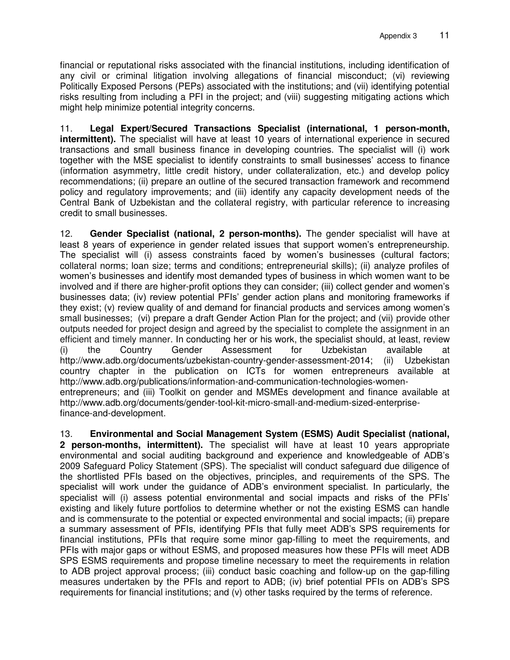financial or reputational risks associated with the financial institutions, including identification of any civil or criminal litigation involving allegations of financial misconduct; (vi) reviewing Politically Exposed Persons (PEPs) associated with the institutions; and (vii) identifying potential risks resulting from including a PFI in the project; and (viii) suggesting mitigating actions which might help minimize potential integrity concerns.

11. **Legal Expert/Secured Transactions Specialist (international, 1 person-month, intermittent).** The specialist will have at least 10 years of international experience in secured transactions and small business finance in developing countries. The specialist will (i) work together with the MSE specialist to identify constraints to small businesses' access to finance (information asymmetry, little credit history, under collateralization, etc.) and develop policy recommendations; (ii) prepare an outline of the secured transaction framework and recommend policy and regulatory improvements; and (iii) identify any capacity development needs of the Central Bank of Uzbekistan and the collateral registry, with particular reference to increasing credit to small businesses.

12. **Gender Specialist (national, 2 person-months).** The gender specialist will have at least 8 years of experience in gender related issues that support women's entrepreneurship. The specialist will (i) assess constraints faced by women's businesses (cultural factors; collateral norms; loan size; terms and conditions; entrepreneurial skills); (ii) analyze profiles of women's businesses and identify most demanded types of business in which women want to be involved and if there are higher-profit options they can consider; (iii) collect gender and women's businesses data; (iv) review potential PFIs' gender action plans and monitoring frameworks if they exist; (v) review quality of and demand for financial products and services among women's small businesses; (vi) prepare a draft Gender Action Plan for the project; and (vii) provide other outputs needed for project design and agreed by the specialist to complete the assignment in an efficient and timely manner. In conducting her or his work, the specialist should, at least, review (i) the Country Gender Assessment for Uzbekistan available at [http://www.adb.org/documents/uzbekistan-country-gender-assessment-2014;](http://www.adb.org/documents/uzbekistan-country-gender-assessment-2014) (ii) Uzbekistan country chapter in the publication on ICTs for women entrepreneurs available at [http://www.adb.org/publications/information-and-communication-technologies-women](http://www.adb.org/publications/information-and-communication-technologies-women-entrepreneurs)[entrepreneurs;](http://www.adb.org/publications/information-and-communication-technologies-women-entrepreneurs) and (iii) Toolkit on gender and MSMEs development and finance available at [http://www.adb.org/documents/gender-tool-kit-micro-small-and-medium-sized-enterprise](http://www.adb.org/documents/gender-tool-kit-micro-small-and-medium-sized-enterprise-finance-and-development)[finance-and-development.](http://www.adb.org/documents/gender-tool-kit-micro-small-and-medium-sized-enterprise-finance-and-development)

13. **Environmental and Social Management System (ESMS) Audit Specialist (national, 2 person-months, intermittent).** The specialist will have at least 10 years appropriate environmental and social auditing background and experience and knowledgeable of ADB's 2009 Safeguard Policy Statement (SPS). The specialist will conduct safeguard due diligence of the shortlisted PFIs based on the objectives, principles, and requirements of the SPS. The specialist will work under the guidance of ADB's environment specialist. In particularly, the specialist will (i) assess potential environmental and social impacts and risks of the PFIs' existing and likely future portfolios to determine whether or not the existing ESMS can handle and is commensurate to the potential or expected environmental and social impacts; (ii) prepare a summary assessment of PFIs, identifying PFIs that fully meet ADB's SPS requirements for financial institutions, PFIs that require some minor gap-filling to meet the requirements, and PFIs with major gaps or without ESMS, and proposed measures how these PFIs will meet ADB SPS ESMS requirements and propose timeline necessary to meet the requirements in relation to ADB project approval process; (iii) conduct basic coaching and follow-up on the gap-filling measures undertaken by the PFIs and report to ADB; (iv) brief potential PFIs on ADB's SPS requirements for financial institutions; and (v) other tasks required by the terms of reference.